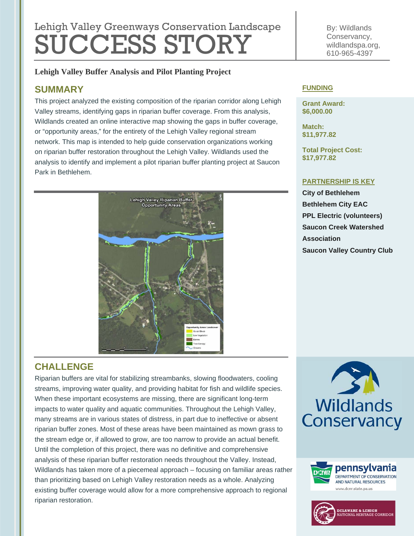# Lehigh Valley Greenways Conservation Landscape SUCCESS STORY

### **Lehigh Valley Buffer Analysis and Pilot Planting Project**

# **SUMMARY**

This project analyzed the existing composition of the riparian corridor along Lehigh Valley streams, identifying gaps in riparian buffer coverage. From this analysis, Wildlands created an online interactive map showing the gaps in buffer coverage, or "opportunity areas," for the entirety of the Lehigh Valley regional stream network. This map is intended to help guide conservation organizations working on riparian buffer restoration throughout the Lehigh Valley. Wildlands used the analysis to identify and implement a pilot riparian buffer planting project at Saucon Park in Bethlehem.



By: Wildlands Conservancy, wildlandspa.org, 610-965-4397

#### **FUNDING**

**Grant Award: \$6,000.00** 

**Match: \$11,977.82** 

**Total Project Cost: \$17,977.82** 

#### **PARTNERSHIP IS KEY**

**City of Bethlehem Bethlehem City EAC PPL Electric (volunteers) Saucon Creek Watershed Association Saucon Valley Country Club**

# **CHALLENGE**

Riparian buffers are vital for stabilizing streambanks, slowing floodwaters, cooling streams, improving water quality, and providing habitat for fish and wildlife species. When these important ecosystems are missing, there are significant long-term impacts to water quality and aquatic communities. Throughout the Lehigh Valley, many streams are in various states of distress, in part due to ineffective or absent riparian buffer zones. Most of these areas have been maintained as mown grass to the stream edge or, if allowed to grow, are too narrow to provide an actual benefit. Until the completion of this project, there was no definitive and comprehensive analysis of these riparian buffer restoration needs throughout the Valley. Instead, Wildlands has taken more of a piecemeal approach – focusing on familiar areas rather than prioritizing based on Lehigh Valley restoration needs as a whole. Analyzing existing buffer coverage would allow for a more comprehensive approach to regional riparian restoration.